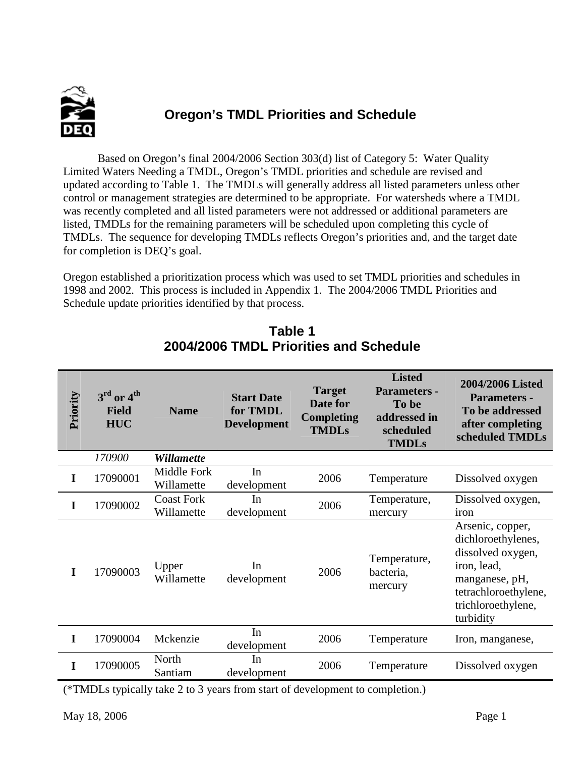

# **Oregon's TMDL Priorities and Schedule**

 Based on Oregon's final 2004/2006 Section 303(d) list of Category 5: Water Quality Limited Waters Needing a TMDL, Oregon's TMDL priorities and schedule are revised and updated according to Table 1. The TMDLs will generally address all listed parameters unless other control or management strategies are determined to be appropriate. For watersheds where a TMDL was recently completed and all listed parameters were not addressed or additional parameters are listed, TMDLs for the remaining parameters will be scheduled upon completing this cycle of TMDLs. The sequence for developing TMDLs reflects Oregon's priorities and, and the target date for completion is DEQ's goal.

Oregon established a prioritization process which was used to set TMDL priorities and schedules in 1998 and 2002. This process is included in Appendix 1. The 2004/2006 TMDL Priorities and Schedule update priorities identified by that process.

| Priority | $3rd$ or $4th$<br><b>Field</b><br><b>HUC</b> | <b>Name</b>                     | <b>Start Date</b><br>for TMDL<br><b>Development</b> | <b>Target</b><br>Date for<br><b>Completing</b><br><b>TMDLs</b> | <b>Listed</b><br><b>Parameters -</b><br>To be<br>addressed in<br>scheduled<br><b>TMDLs</b> | 2004/2006 Listed<br><b>Parameters -</b><br>To be addressed<br>after completing<br>scheduled TMDLs                                                       |
|----------|----------------------------------------------|---------------------------------|-----------------------------------------------------|----------------------------------------------------------------|--------------------------------------------------------------------------------------------|---------------------------------------------------------------------------------------------------------------------------------------------------------|
|          | 170900                                       | <b>Willamette</b>               |                                                     |                                                                |                                                                                            |                                                                                                                                                         |
| I        | 17090001                                     | Middle Fork<br>Willamette       | In<br>development                                   | 2006                                                           | Temperature                                                                                | Dissolved oxygen                                                                                                                                        |
| T        | 17090002                                     | <b>Coast Fork</b><br>Willamette | In<br>development                                   | 2006                                                           | Temperature,<br>mercury                                                                    | Dissolved oxygen,<br>iron                                                                                                                               |
| T        | 17090003                                     | Upper<br>Willamette             | In<br>development                                   | 2006                                                           | Temperature,<br>bacteria,<br>mercury                                                       | Arsenic, copper,<br>dichloroethylenes,<br>dissolved oxygen,<br>iron, lead,<br>manganese, pH,<br>tetrachloroethylene,<br>trichloroethylene,<br>turbidity |
| I        | 17090004                                     | Mckenzie                        | In<br>development                                   | 2006                                                           | Temperature                                                                                | Iron, manganese,                                                                                                                                        |
| T        | 17090005                                     | North<br>Santiam                | In<br>development                                   | 2006                                                           | Temperature                                                                                | Dissolved oxygen                                                                                                                                        |

## **Table 1 2004/2006 TMDL Priorities and Schedule**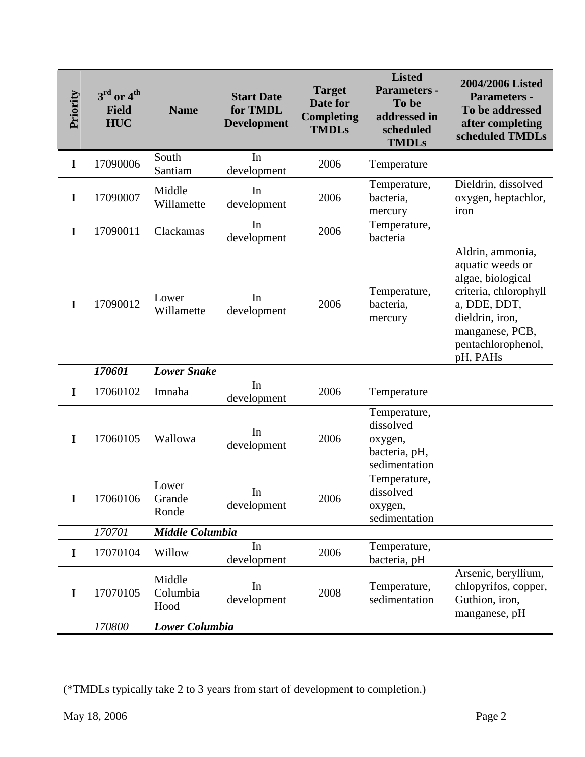| Priority    | $3rd$ or $4th$<br><b>Field</b><br><b>HUC</b> | <b>Name</b>                | <b>Start Date</b><br>for TMDL<br><b>Development</b>                           | <b>Target</b><br>Date for<br><b>Completing</b><br><b>TMDLs</b> | <b>Listed</b><br>Parameters -<br>To be<br>addressed in<br>scheduled<br><b>TMDLs</b> | 2004/2006 Listed<br><b>Parameters -</b><br>To be addressed<br>after completing<br>scheduled TMDLs                                                                          |
|-------------|----------------------------------------------|----------------------------|-------------------------------------------------------------------------------|----------------------------------------------------------------|-------------------------------------------------------------------------------------|----------------------------------------------------------------------------------------------------------------------------------------------------------------------------|
| $\mathbf I$ | 17090006                                     | South<br>Santiam           | In<br>development                                                             | 2006                                                           | Temperature                                                                         |                                                                                                                                                                            |
| I           | 17090007                                     | Middle<br>Willamette       | In<br>development                                                             | 2006                                                           | Temperature,<br>bacteria,<br>mercury                                                | Dieldrin, dissolved<br>oxygen, heptachlor,<br>iron                                                                                                                         |
| I           | 17090011                                     | Clackamas                  | In<br>development                                                             | 2006                                                           | Temperature,<br>bacteria                                                            |                                                                                                                                                                            |
| I           | 17090012                                     | Lower<br>Willamette        | In<br>development                                                             | 2006                                                           | Temperature,<br>bacteria,<br>mercury                                                | Aldrin, ammonia,<br>aquatic weeds or<br>algae, biological<br>criteria, chlorophyll<br>a, DDE, DDT,<br>dieldrin, iron,<br>manganese, PCB,<br>pentachlorophenol,<br>pH, PAHs |
|             | 170601                                       | <b>Lower Snake</b>         |                                                                               |                                                                |                                                                                     |                                                                                                                                                                            |
| I           | 17060102                                     | Imnaha                     | In<br>development                                                             | 2006                                                           | Temperature                                                                         |                                                                                                                                                                            |
| I           | 17060105                                     | Wallowa                    | In<br>development                                                             | 2006                                                           | Temperature,<br>dissolved<br>oxygen,<br>bacteria, pH,<br>sedimentation              |                                                                                                                                                                            |
| I           | 17060106                                     | Lower<br>Grande<br>Ronde   | In<br>development                                                             | 2006                                                           | Temperature,<br>dissolved<br>oxygen,<br>sedimentation                               |                                                                                                                                                                            |
|             | 170701                                       | <b>Middle Columbia</b>     |                                                                               |                                                                |                                                                                     |                                                                                                                                                                            |
| I           | 17070104                                     | Willow                     | In<br>development                                                             | 2006                                                           | Temperature,<br>bacteria, pH                                                        |                                                                                                                                                                            |
| $\mathbf I$ | 17070105                                     | Middle<br>Columbia<br>Hood | In<br>development                                                             | 2008                                                           | Temperature,<br>sedimentation                                                       | Arsenic, beryllium,<br>chlopyrifos, copper,<br>Guthion, iron,<br>manganese, pH                                                                                             |
|             | 170800                                       | Lower Columbia             |                                                                               |                                                                |                                                                                     |                                                                                                                                                                            |
|             | May 18, 2006                                 |                            | (*TMDLs typically take 2 to 3 years from start of development to completion.) |                                                                |                                                                                     | Page 2                                                                                                                                                                     |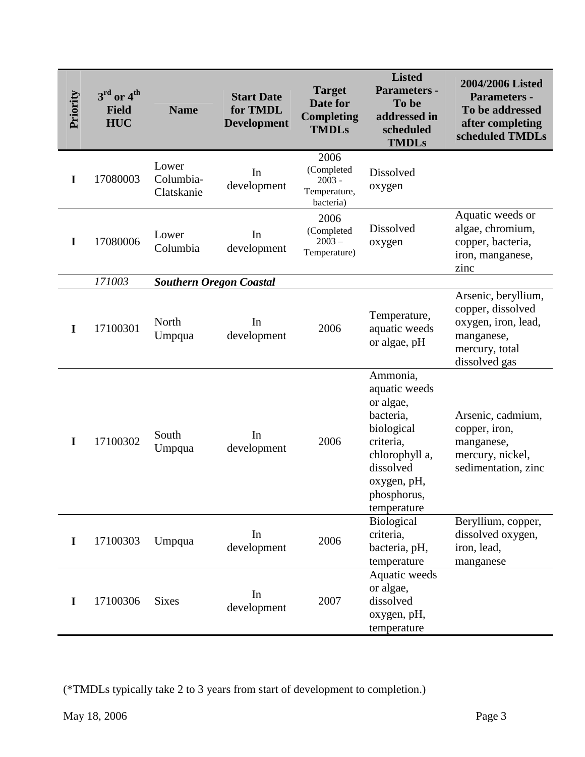| Priority    | $3rd$ or $4th$<br><b>Field</b><br><b>HUC</b> | <b>Name</b>                      | <b>Start Date</b><br>for TMDL<br><b>Development</b>                           | <b>Target</b><br>Date for<br>Completing<br><b>TMDLs</b>     | <b>Listed</b><br>Parameters -<br>To be<br>addressed in<br>scheduled<br><b>TMDLs</b>                                                                        | 2004/2006 Listed<br><b>Parameters -</b><br>To be addressed<br>after completing<br>scheduled TMDLs                |
|-------------|----------------------------------------------|----------------------------------|-------------------------------------------------------------------------------|-------------------------------------------------------------|------------------------------------------------------------------------------------------------------------------------------------------------------------|------------------------------------------------------------------------------------------------------------------|
| $\mathbf I$ | 17080003                                     | Lower<br>Columbia-<br>Clatskanie | In<br>development                                                             | 2006<br>(Completed<br>$2003 -$<br>Temperature,<br>bacteria) | Dissolved<br>oxygen                                                                                                                                        |                                                                                                                  |
| $\mathbf I$ | 17080006                                     | Lower<br>Columbia                | In<br>development                                                             | 2006<br>(Completed<br>$2003 -$<br>Temperature)              | Dissolved<br>oxygen                                                                                                                                        | Aquatic weeds or<br>algae, chromium,<br>copper, bacteria,<br>iron, manganese,<br>zinc                            |
|             | 171003                                       | <b>Southern Oregon Coastal</b>   |                                                                               |                                                             |                                                                                                                                                            |                                                                                                                  |
| I           | 17100301                                     | North<br>Umpqua                  | In<br>development                                                             | 2006                                                        | Temperature,<br>aquatic weeds<br>or algae, pH                                                                                                              | Arsenic, beryllium,<br>copper, dissolved<br>oxygen, iron, lead,<br>manganese,<br>mercury, total<br>dissolved gas |
| I           | 17100302                                     | South<br>Umpqua                  | In<br>development                                                             | 2006                                                        | Ammonia,<br>aquatic weeds<br>or algae,<br>bacteria,<br>biological<br>criteria,<br>chlorophyll a,<br>dissolved<br>oxygen, pH,<br>phosphorus,<br>temperature | Arsenic, cadmium,<br>copper, iron,<br>manganese,<br>mercury, nickel,<br>sedimentation, zinc                      |
| $\mathbf I$ | 17100303                                     | Umpqua                           | In<br>development                                                             | 2006                                                        | <b>Biological</b><br>criteria,<br>bacteria, pH,<br>temperature                                                                                             | Beryllium, copper,<br>dissolved oxygen,<br>iron, lead,<br>manganese                                              |
| $\mathbf I$ | 17100306                                     | <b>Sixes</b>                     | In<br>development                                                             | 2007                                                        | Aquatic weeds<br>or algae,<br>dissolved<br>oxygen, pH,<br>temperature                                                                                      |                                                                                                                  |
|             | May 18, 2006                                 |                                  | (*TMDLs typically take 2 to 3 years from start of development to completion.) |                                                             |                                                                                                                                                            | Page 3                                                                                                           |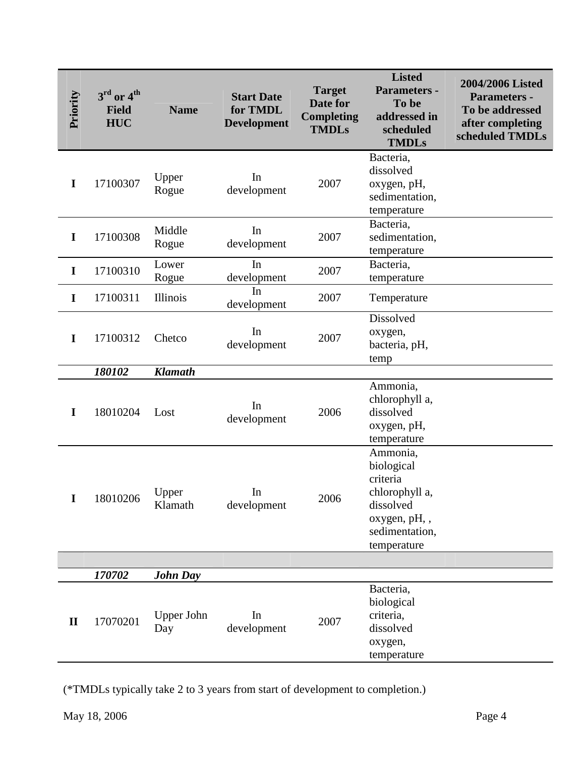| Priority     | $3rd$ or $4th$<br><b>Field</b><br><b>HUC</b> | <b>Name</b>              | <b>Start Date</b><br>for TMDL<br><b>Development</b>                           | <b>Target</b><br><b>Date for</b><br><b>Completing</b><br><b>TMDLs</b> | <b>Listed</b><br><b>Parameters -</b><br>To be<br>addressed in<br>scheduled<br><b>TMDLs</b>                         | 2004/2006 Listed<br><b>Parameters -</b><br>To be addressed<br>after completing<br>scheduled TMDLs |
|--------------|----------------------------------------------|--------------------------|-------------------------------------------------------------------------------|-----------------------------------------------------------------------|--------------------------------------------------------------------------------------------------------------------|---------------------------------------------------------------------------------------------------|
| $\mathbf I$  | 17100307                                     | Upper<br>Rogue           | In<br>development                                                             | 2007                                                                  | Bacteria,<br>dissolved<br>oxygen, pH,<br>sedimentation,<br>temperature                                             |                                                                                                   |
| $\mathbf I$  | 17100308                                     | Middle<br>Rogue          | In<br>development                                                             | 2007                                                                  | Bacteria,<br>sedimentation,<br>temperature                                                                         |                                                                                                   |
| $\mathbf I$  | 17100310                                     | Lower<br>Rogue           | In<br>development                                                             | 2007                                                                  | Bacteria,<br>temperature                                                                                           |                                                                                                   |
| $\mathbf I$  | 17100311                                     | Illinois                 | In<br>development                                                             | 2007                                                                  | Temperature                                                                                                        |                                                                                                   |
| $\mathbf I$  | 17100312                                     | Chetco                   | In<br>development                                                             | 2007                                                                  | Dissolved<br>oxygen,<br>bacteria, pH,<br>temp                                                                      |                                                                                                   |
|              | 180102                                       | <b>Klamath</b>           |                                                                               |                                                                       |                                                                                                                    |                                                                                                   |
| I            | 18010204                                     | Lost                     | In<br>development                                                             | 2006                                                                  | Ammonia,<br>chlorophyll a,<br>dissolved<br>oxygen, pH,<br>temperature                                              |                                                                                                   |
| I            | 18010206                                     | Upper<br>Klamath         | In<br>development                                                             | 2006                                                                  | Ammonia,<br>biological<br>criteria<br>chlorophyll a,<br>dissolved<br>oxygen, pH,,<br>sedimentation,<br>temperature |                                                                                                   |
|              |                                              |                          |                                                                               |                                                                       |                                                                                                                    |                                                                                                   |
|              | 170702                                       | <b>John Day</b>          |                                                                               |                                                                       | Bacteria,                                                                                                          |                                                                                                   |
| $\mathbf{I}$ | 17070201                                     | <b>Upper John</b><br>Day | In<br>development                                                             | 2007                                                                  | biological<br>criteria,<br>dissolved<br>oxygen,<br>temperature                                                     |                                                                                                   |
|              |                                              |                          |                                                                               |                                                                       |                                                                                                                    |                                                                                                   |
|              |                                              |                          | (*TMDLs typically take 2 to 3 years from start of development to completion.) |                                                                       |                                                                                                                    |                                                                                                   |
|              | May 18, 2006                                 |                          |                                                                               |                                                                       |                                                                                                                    | Page 4                                                                                            |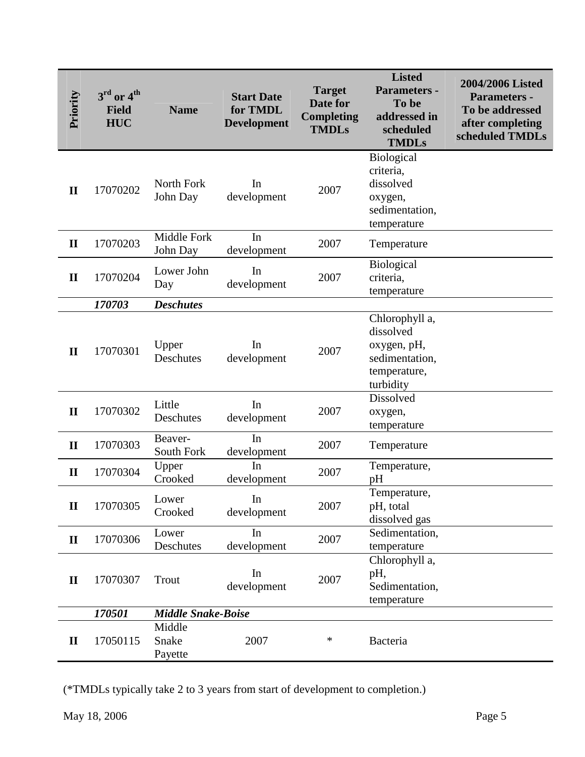| Priority     | $3rd$ or $4th$<br><b>Field</b><br><b>HUC</b> | <b>Name</b>                | <b>Start Date</b><br>for TMDL<br><b>Development</b>                           | <b>Target</b><br>Date for<br><b>Completing</b><br><b>TMDLs</b> | <b>Listed</b><br>Parameters -<br>To be<br>addressed in<br>scheduled<br><b>TMDLs</b>       | 2004/2006 Listed<br><b>Parameters -</b><br>To be addressed<br>after completing<br>scheduled TMDLs |
|--------------|----------------------------------------------|----------------------------|-------------------------------------------------------------------------------|----------------------------------------------------------------|-------------------------------------------------------------------------------------------|---------------------------------------------------------------------------------------------------|
| $\mathbf{I}$ | 17070202                                     | North Fork<br>John Day     | In<br>development                                                             | 2007                                                           | Biological<br>criteria,<br>dissolved<br>oxygen,<br>sedimentation,<br>temperature          |                                                                                                   |
| $\mathbf{I}$ | 17070203                                     | Middle Fork<br>John Day    | In<br>development                                                             | 2007                                                           | Temperature                                                                               |                                                                                                   |
| $\mathbf{I}$ | 17070204                                     | Lower John<br>Day          | In<br>development                                                             | 2007                                                           | <b>Biological</b><br>criteria,<br>temperature                                             |                                                                                                   |
|              | 170703                                       | <b>Deschutes</b>           |                                                                               |                                                                |                                                                                           |                                                                                                   |
| $\mathbf{I}$ | 17070301                                     | Upper<br>Deschutes         | In<br>development                                                             | 2007                                                           | Chlorophyll a,<br>dissolved<br>oxygen, pH,<br>sedimentation,<br>temperature,<br>turbidity |                                                                                                   |
| $\mathbf{I}$ | 17070302                                     | Little<br>Deschutes        | In<br>development                                                             | 2007                                                           | Dissolved<br>oxygen,<br>temperature                                                       |                                                                                                   |
| $\mathbf{I}$ | 17070303                                     | Beaver-<br>South Fork      | In<br>development                                                             | 2007                                                           | Temperature                                                                               |                                                                                                   |
| $\mathbf{I}$ | 17070304                                     | Upper<br>Crooked           | In<br>development                                                             | 2007                                                           | Temperature,<br>pH                                                                        |                                                                                                   |
| $\mathbf{I}$ | 17070305                                     | Lower<br>Crooked           | In<br>development                                                             | 2007                                                           | Temperature.<br>pH, total<br>dissolved gas                                                |                                                                                                   |
| $\mathbf{I}$ | 17070306                                     | Lower<br>Deschutes         | In<br>development                                                             | 2007                                                           | Sedimentation,<br>temperature                                                             |                                                                                                   |
| $\mathbf{I}$ | 17070307                                     | Trout                      | In<br>development                                                             | 2007                                                           | Chlorophyll a,<br>pH,<br>Sedimentation,<br>temperature                                    |                                                                                                   |
|              | 170501                                       | <b>Middle Snake-Boise</b>  |                                                                               |                                                                |                                                                                           |                                                                                                   |
| $\mathbf H$  | 17050115                                     | Middle<br>Snake<br>Payette | 2007                                                                          | ∗                                                              | Bacteria                                                                                  |                                                                                                   |
|              | May 18, 2006                                 |                            | (*TMDLs typically take 2 to 3 years from start of development to completion.) |                                                                |                                                                                           | Page 5                                                                                            |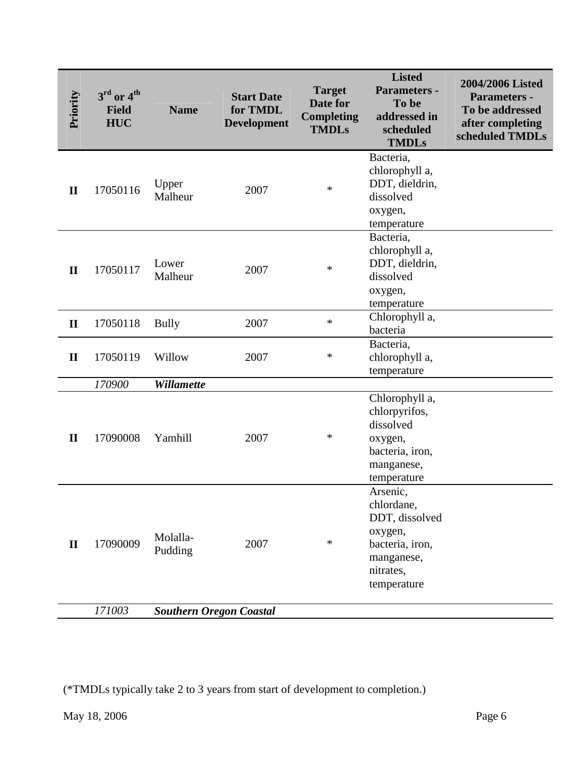| Priority     | $3rd$ or $4th$<br><b>Field</b><br><b>HUC</b> | <b>Name</b>                    | <b>Start Date</b><br>for TMDL<br><b>Development</b>                           | <b>Target</b><br><b>Date for</b><br><b>Completing</b><br><b>TMDLs</b> | <b>Listed</b><br>Parameters -<br>To be<br>addressed in<br>scheduled<br><b>TMDLs</b>                              | 2004/2006 Listed<br><b>Parameters -</b><br>To be addressed<br>after completing<br>scheduled TMDLs |
|--------------|----------------------------------------------|--------------------------------|-------------------------------------------------------------------------------|-----------------------------------------------------------------------|------------------------------------------------------------------------------------------------------------------|---------------------------------------------------------------------------------------------------|
| $\mathbf{I}$ | 17050116                                     | Upper<br>Malheur               | 2007                                                                          | $\ast$                                                                | Bacteria,<br>chlorophyll a,<br>DDT, dieldrin,<br>dissolved<br>oxygen,<br>temperature                             |                                                                                                   |
| $\mathbf{I}$ | 17050117                                     | Lower<br>Malheur               | 2007                                                                          | $\ast$                                                                | Bacteria,<br>chlorophyll a,<br>DDT, dieldrin,<br>dissolved<br>oxygen,<br>temperature                             |                                                                                                   |
| $\mathbf{I}$ | 17050118                                     | <b>Bully</b>                   | 2007                                                                          | *                                                                     | Chlorophyll a,<br>bacteria                                                                                       |                                                                                                   |
| $\mathbf{I}$ | 17050119                                     | Willow                         | 2007                                                                          | $\ast$                                                                | Bacteria,<br>chlorophyll a,<br>temperature                                                                       |                                                                                                   |
|              | 170900                                       | Willamette                     |                                                                               |                                                                       |                                                                                                                  |                                                                                                   |
| $\mathbf{I}$ | 17090008                                     | Yamhill                        | 2007                                                                          | $\ast$                                                                | Chlorophyll a,<br>chlorpyrifos,<br>dissolved<br>oxygen,<br>bacteria, iron,<br>manganese,<br>temperature          |                                                                                                   |
| $\mathbf{I}$ | 17090009                                     | Molalla-<br>Pudding            | 2007                                                                          | $\ast$                                                                | Arsenic,<br>chlordane,<br>DDT, dissolved<br>oxygen,<br>bacteria, iron,<br>manganese,<br>nitrates,<br>temperature |                                                                                                   |
|              | 171003                                       | <b>Southern Oregon Coastal</b> |                                                                               |                                                                       |                                                                                                                  |                                                                                                   |
|              | May 18, 2006                                 |                                | (*TMDLs typically take 2 to 3 years from start of development to completion.) |                                                                       |                                                                                                                  | Page 6                                                                                            |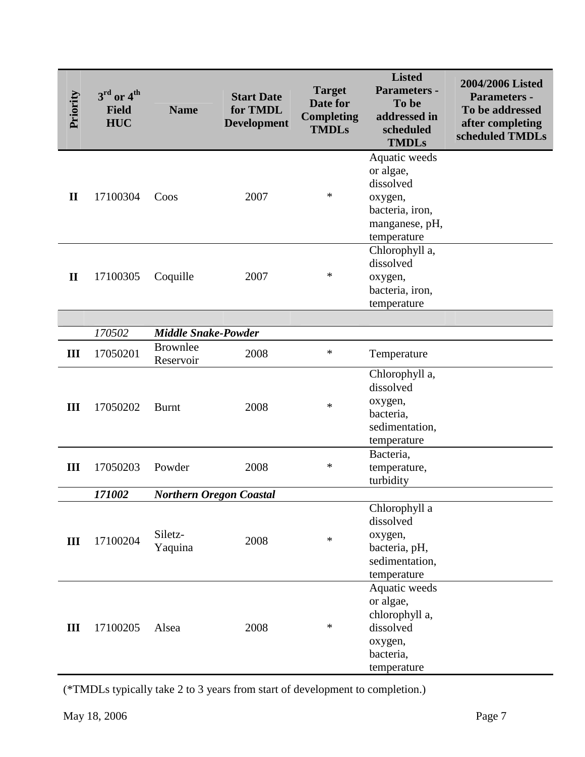| Priority     | $3rd$ or $4th$<br><b>Field</b><br><b>HUC</b> | <b>Name</b>                                   | <b>Start Date</b><br>for TMDL<br><b>Development</b>                           | <b>Target</b><br>Date for<br><b>Completing</b><br><b>TMDLs</b> | <b>Listed</b><br>Parameters -<br>To be<br>addressed in<br>scheduled<br><b>TMDLs</b>                    | 2004/2006 Listed<br><b>Parameters -</b><br>To be addressed<br>after completing<br>scheduled TMDLs |
|--------------|----------------------------------------------|-----------------------------------------------|-------------------------------------------------------------------------------|----------------------------------------------------------------|--------------------------------------------------------------------------------------------------------|---------------------------------------------------------------------------------------------------|
| $\mathbf{I}$ | 17100304                                     | Coos                                          | 2007                                                                          | $\ast$                                                         | Aquatic weeds<br>or algae,<br>dissolved<br>oxygen,<br>bacteria, iron,<br>manganese, pH,<br>temperature |                                                                                                   |
| $\mathbf{I}$ | 17100305                                     | Coquille                                      | 2007                                                                          | ∗                                                              | Chlorophyll a,<br>dissolved<br>oxygen,<br>bacteria, iron,<br>temperature                               |                                                                                                   |
|              |                                              |                                               |                                                                               |                                                                |                                                                                                        |                                                                                                   |
| III          | 170502<br>17050201                           | <b>Middle Snake-Powder</b><br><b>Brownlee</b> | 2008                                                                          | *                                                              | Temperature                                                                                            |                                                                                                   |
|              |                                              | Reservoir                                     |                                                                               |                                                                |                                                                                                        |                                                                                                   |
| III          | 17050202                                     | <b>Burnt</b>                                  | 2008                                                                          | $\ast$                                                         | Chlorophyll a,<br>dissolved<br>oxygen,<br>bacteria,<br>sedimentation,<br>temperature                   |                                                                                                   |
| III          | 17050203                                     | Powder                                        | 2008                                                                          | $\ast$                                                         | Bacteria,<br>temperature,<br>turbidity                                                                 |                                                                                                   |
|              | 171002                                       |                                               | <b>Northern Oregon Coastal</b>                                                |                                                                |                                                                                                        |                                                                                                   |
| Ш            | 17100204                                     | Siletz-<br>Yaquina                            | 2008                                                                          | $\ast$                                                         | Chlorophyll a<br>dissolved<br>oxygen,<br>bacteria, pH,<br>sedimentation,<br>temperature                |                                                                                                   |
| Ш            | 17100205                                     | Alsea                                         | 2008                                                                          | ∗                                                              | Aquatic weeds<br>or algae,<br>chlorophyll a,<br>dissolved<br>oxygen,<br>bacteria,<br>temperature       |                                                                                                   |
|              |                                              |                                               | (*TMDLs typically take 2 to 3 years from start of development to completion.) |                                                                |                                                                                                        |                                                                                                   |
|              | May 18, 2006                                 |                                               |                                                                               |                                                                |                                                                                                        | Page 7                                                                                            |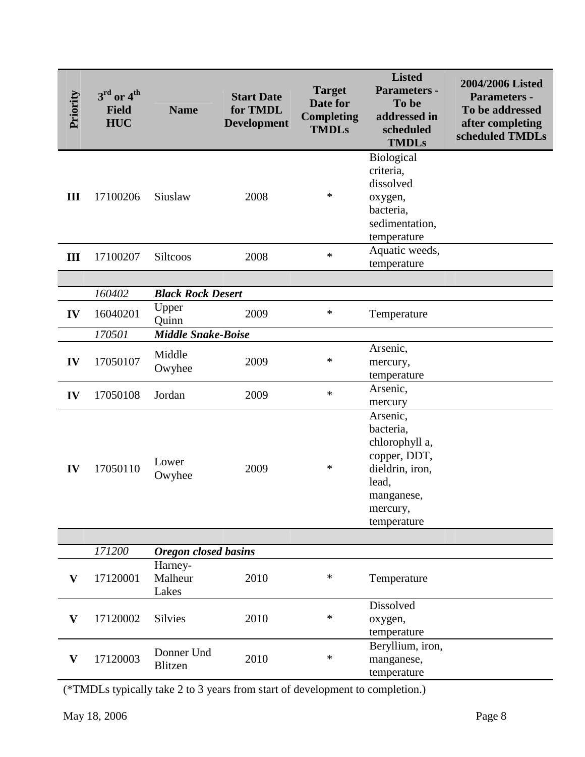| Priority                  | $3rd$ or $4th$<br><b>Field</b><br><b>HUC</b> | <b>Name</b>                 | <b>Start Date</b><br>for TMDL<br><b>Development</b>                           | <b>Target</b><br>Date for<br><b>Completing</b><br><b>TMDLs</b> | <b>Listed</b><br>Parameters -<br>To be<br>addressed in<br>scheduled<br><b>TMDLs</b>                                          | 2004/2006 Listed<br><b>Parameters -</b><br>To be addressed<br>after completing<br>scheduled TMDLs |
|---------------------------|----------------------------------------------|-----------------------------|-------------------------------------------------------------------------------|----------------------------------------------------------------|------------------------------------------------------------------------------------------------------------------------------|---------------------------------------------------------------------------------------------------|
| III                       | 17100206                                     | Siuslaw                     | 2008                                                                          | ∗                                                              | Biological<br>criteria,<br>dissolved<br>oxygen,<br>bacteria,<br>sedimentation,<br>temperature                                |                                                                                                   |
| III                       | 17100207                                     | <b>Siltcoos</b>             | 2008                                                                          | $\ast$                                                         | Aquatic weeds,<br>temperature                                                                                                |                                                                                                   |
|                           |                                              |                             |                                                                               |                                                                |                                                                                                                              |                                                                                                   |
|                           | 160402                                       | <b>Black Rock Desert</b>    |                                                                               |                                                                |                                                                                                                              |                                                                                                   |
| IV                        | 16040201                                     | Upper<br>Quinn              | 2009                                                                          | $\ast$                                                         | Temperature                                                                                                                  |                                                                                                   |
|                           | 170501                                       | <b>Middle Snake-Boise</b>   |                                                                               |                                                                |                                                                                                                              |                                                                                                   |
| IV                        | 17050107                                     | Middle<br>Owyhee            | 2009                                                                          | ∗                                                              | Arsenic,<br>mercury,<br>temperature                                                                                          |                                                                                                   |
| IV                        | 17050108                                     | Jordan                      | 2009                                                                          | $\ast$                                                         | Arsenic,<br>mercury                                                                                                          |                                                                                                   |
| IV                        | 17050110                                     | Lower<br>Owyhee             | 2009                                                                          | ∗                                                              | Arsenic,<br>bacteria,<br>chlorophyll a,<br>copper, DDT,<br>dieldrin, iron,<br>lead,<br>manganese,<br>mercury,<br>temperature |                                                                                                   |
|                           |                                              |                             |                                                                               |                                                                |                                                                                                                              |                                                                                                   |
|                           | 171200                                       | <b>Oregon</b> closed basins |                                                                               |                                                                |                                                                                                                              |                                                                                                   |
| V                         | 17120001                                     | Harney-<br>Malheur<br>Lakes | 2010                                                                          | ∗                                                              | Temperature                                                                                                                  |                                                                                                   |
| $\mathbf{V}$              | 17120002                                     | <b>Silvies</b>              | 2010                                                                          | $\ast$                                                         | Dissolved<br>oxygen,<br>temperature                                                                                          |                                                                                                   |
| $\boldsymbol{\mathrm{V}}$ | 17120003                                     | Donner Und<br>Blitzen       | 2010                                                                          | ∗                                                              | Beryllium, iron,<br>manganese,<br>temperature                                                                                |                                                                                                   |
|                           |                                              |                             | (*TMDLs typically take 2 to 3 years from start of development to completion.) |                                                                |                                                                                                                              |                                                                                                   |
|                           |                                              |                             |                                                                               |                                                                |                                                                                                                              |                                                                                                   |
|                           | May 18, 2006                                 |                             |                                                                               |                                                                |                                                                                                                              | Page 8                                                                                            |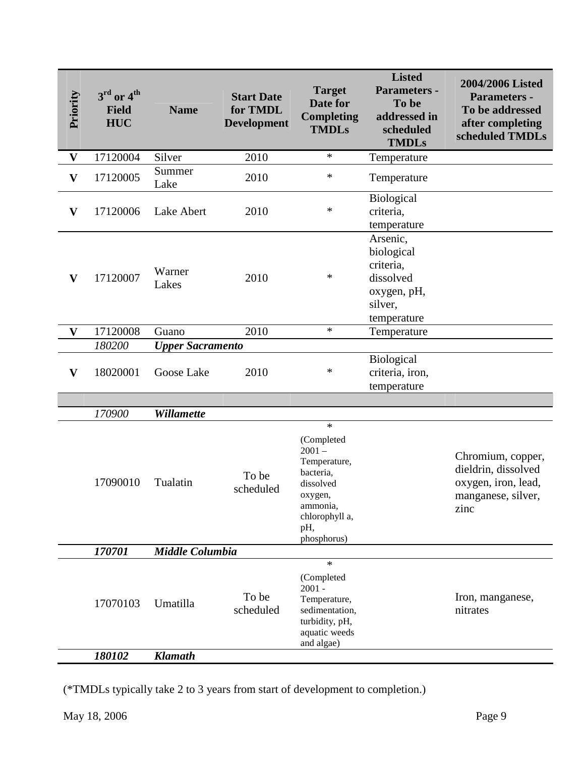| Priority                  | $3rd$ or $4th$<br><b>Field</b><br><b>HUC</b> | <b>Name</b>                           | <b>Start Date</b><br>for TMDL<br><b>Development</b>                           | <b>Target</b><br>Date for<br><b>Completing</b><br><b>TMDLs</b>                                                                            | <b>Listed</b><br>Parameters -<br>To be<br>addressed in<br>scheduled<br><b>TMDLs</b>       | 2004/2006 Listed<br><b>Parameters -</b><br>To be addressed<br>after completing<br>scheduled TMDLs |
|---------------------------|----------------------------------------------|---------------------------------------|-------------------------------------------------------------------------------|-------------------------------------------------------------------------------------------------------------------------------------------|-------------------------------------------------------------------------------------------|---------------------------------------------------------------------------------------------------|
| $\bold{V}$                | 17120004                                     | Silver                                | 2010                                                                          | $\ast$                                                                                                                                    | Temperature                                                                               |                                                                                                   |
| $\boldsymbol{\mathrm{V}}$ | 17120005                                     | Summer<br>Lake                        | 2010                                                                          | $\ast$                                                                                                                                    | Temperature                                                                               |                                                                                                   |
| $\mathbf{V}$              | 17120006                                     | Lake Abert                            | 2010                                                                          | $\ast$                                                                                                                                    | <b>Biological</b><br>criteria,<br>temperature                                             |                                                                                                   |
| $\mathbf{V}$              | 17120007                                     | Warner<br>Lakes                       | 2010                                                                          | $\ast$                                                                                                                                    | Arsenic,<br>biological<br>criteria,<br>dissolved<br>oxygen, pH,<br>silver,<br>temperature |                                                                                                   |
| $\mathbf{V}$              | 17120008                                     | Guano                                 | 2010                                                                          | $\ast$                                                                                                                                    | Temperature                                                                               |                                                                                                   |
| $\mathbf{V}$              | 180200<br>18020001                           | <b>Upper Sacramento</b><br>Goose Lake | 2010                                                                          | $\ast$                                                                                                                                    | Biological<br>criteria, iron,<br>temperature                                              |                                                                                                   |
|                           | 170900                                       | Willamette                            |                                                                               |                                                                                                                                           |                                                                                           |                                                                                                   |
|                           | 17090010                                     | Tualatin                              | To be<br>scheduled                                                            | $\ast$<br>(Completed<br>$2001 -$<br>Temperature,<br>bacteria,<br>dissolved<br>oxygen,<br>ammonia,<br>chlorophyll a,<br>pH,<br>phosphorus) |                                                                                           | Chromium, copper,<br>dieldrin, dissolved<br>oxygen, iron, lead,<br>manganese, silver,<br>zinc     |
|                           | 170701                                       | Middle Columbia                       |                                                                               |                                                                                                                                           |                                                                                           |                                                                                                   |
|                           | 17070103                                     | Umatilla                              | To be<br>scheduled                                                            | $\ast$<br>(Completed<br>$2001 -$<br>Temperature,<br>sedimentation,<br>turbidity, pH,<br>aquatic weeds<br>and algae)                       |                                                                                           | Iron, manganese,<br>nitrates                                                                      |
|                           | 180102                                       | <b>Klamath</b>                        |                                                                               |                                                                                                                                           |                                                                                           |                                                                                                   |
|                           | May 18, 2006                                 |                                       | (*TMDLs typically take 2 to 3 years from start of development to completion.) |                                                                                                                                           |                                                                                           | Page 9                                                                                            |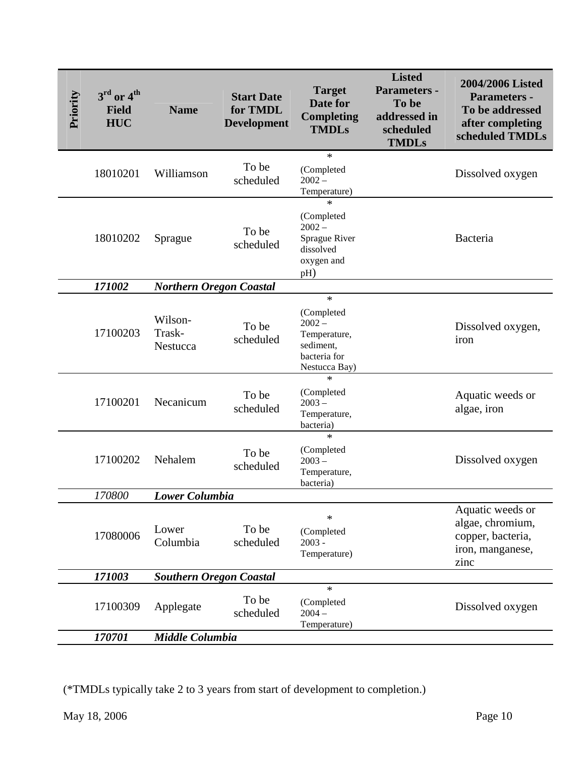| Priority | $3^{\rm rd}$ or $4^{\rm th}$<br><b>Field</b><br><b>HUC</b> | <b>Name</b>                    | <b>Start Date</b><br>for TMDL<br><b>Development</b>                           | <b>Target</b><br>Date for<br><b>Completing</b><br><b>TMDLs</b>                                           | <b>Listed</b><br><b>Parameters -</b><br>To be<br>addressed in<br>scheduled<br><b>TMDLs</b> | 2004/2006 Listed<br><b>Parameters -</b><br>To be addressed<br>after completing<br>scheduled TMDLs |
|----------|------------------------------------------------------------|--------------------------------|-------------------------------------------------------------------------------|----------------------------------------------------------------------------------------------------------|--------------------------------------------------------------------------------------------|---------------------------------------------------------------------------------------------------|
|          | 18010201                                                   | Williamson                     | To be<br>scheduled                                                            | $\ast$<br>(Completed<br>$2002 -$<br>Temperature)                                                         |                                                                                            | Dissolved oxygen                                                                                  |
|          | 18010202                                                   | Sprague                        | To be<br>scheduled                                                            | $\ast$<br>(Completed<br>$2002 -$<br>Sprague River<br>dissolved<br>oxygen and<br>pH)                      |                                                                                            | Bacteria                                                                                          |
|          | 171002                                                     | <b>Northern Oregon Coastal</b> |                                                                               |                                                                                                          |                                                                                            |                                                                                                   |
|          | 17100203                                                   | Wilson-<br>Trask-<br>Nestucca  | To be<br>scheduled                                                            | $\ast$<br>(Completed<br>$2002 -$<br>Temperature,<br>sediment,<br>bacteria for<br>Nestucca Bay)<br>$\ast$ |                                                                                            | Dissolved oxygen,<br>iron                                                                         |
|          | 17100201                                                   | Necanicum                      | To be<br>scheduled                                                            | (Completed<br>$2003 -$<br>Temperature,<br>bacteria)                                                      |                                                                                            | Aquatic weeds or<br>algae, iron                                                                   |
|          | 17100202                                                   | Nehalem                        | To be<br>scheduled                                                            | $\ast$<br>(Completed<br>$2003 -$<br>Temperature,<br>bacteria)                                            |                                                                                            | Dissolved oxygen                                                                                  |
|          | 170800                                                     | Lower Columbia                 |                                                                               |                                                                                                          |                                                                                            |                                                                                                   |
|          | 17080006                                                   | Lower<br>Columbia              | To be<br>scheduled                                                            | $\ast$<br>(Completed<br>$2003 -$<br>Temperature)                                                         |                                                                                            | Aquatic weeds or<br>algae, chromium,<br>copper, bacteria,<br>iron, manganese,<br>zinc             |
|          | 171003                                                     | <b>Southern Oregon Coastal</b> |                                                                               |                                                                                                          |                                                                                            |                                                                                                   |
|          | 17100309                                                   | Applegate                      | To be<br>scheduled                                                            | $\ast$<br>(Completed<br>$2004 -$<br>Temperature)                                                         |                                                                                            | Dissolved oxygen                                                                                  |
|          | 170701                                                     | Middle Columbia                |                                                                               |                                                                                                          |                                                                                            |                                                                                                   |
|          | May 18, 2006                                               |                                | (*TMDLs typically take 2 to 3 years from start of development to completion.) |                                                                                                          |                                                                                            | Page 10                                                                                           |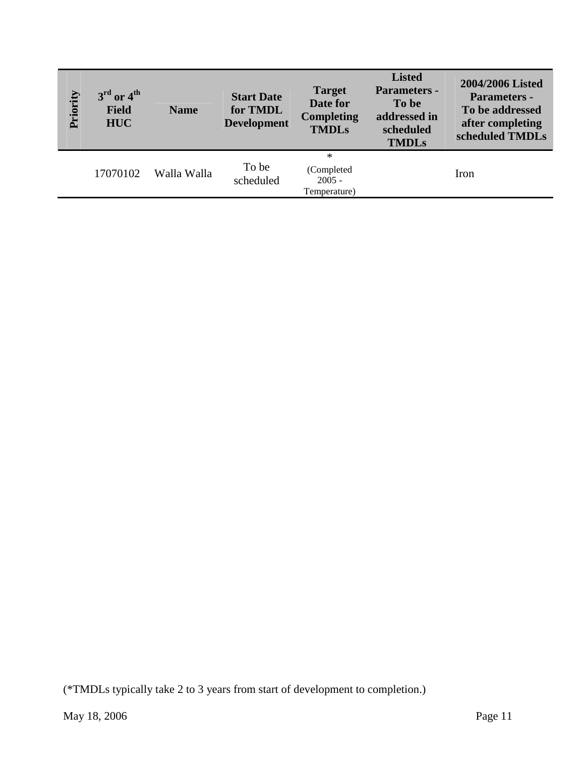| Priority | $3rd$ or $4th$<br>Field<br>${\bf HUC}$ | <b>Name</b> | <b>Start Date</b><br>for TMDL<br><b>Development</b>                           | <b>Target</b><br>Date for<br><b>Completing</b><br><b>TMDLs</b> | <b>Listed</b><br>Parameters -<br>To be<br>addressed in<br>scheduled<br><b>TMDLs</b> | 2004/2006 Listed<br>Parameters -<br>To be addressed<br>after completing<br>scheduled TMDLs |
|----------|----------------------------------------|-------------|-------------------------------------------------------------------------------|----------------------------------------------------------------|-------------------------------------------------------------------------------------|--------------------------------------------------------------------------------------------|
|          | 17070102                               | Walla Walla | To be<br>scheduled                                                            | $\ast$<br>(Completed<br>$2005 -$<br>Temperature)               |                                                                                     | Iron                                                                                       |
|          |                                        |             |                                                                               |                                                                |                                                                                     |                                                                                            |
|          |                                        |             |                                                                               |                                                                |                                                                                     |                                                                                            |
|          |                                        |             |                                                                               |                                                                |                                                                                     |                                                                                            |
|          |                                        |             |                                                                               |                                                                |                                                                                     |                                                                                            |
|          |                                        |             |                                                                               |                                                                |                                                                                     |                                                                                            |
|          |                                        |             |                                                                               |                                                                |                                                                                     |                                                                                            |
|          |                                        |             |                                                                               |                                                                |                                                                                     |                                                                                            |
|          |                                        |             |                                                                               |                                                                |                                                                                     |                                                                                            |
|          |                                        |             |                                                                               |                                                                |                                                                                     |                                                                                            |
|          |                                        |             | (*TMDLs typically take 2 to 3 years from start of development to completion.) |                                                                |                                                                                     |                                                                                            |
|          | May 18, 2006                           |             |                                                                               |                                                                |                                                                                     | Page 11                                                                                    |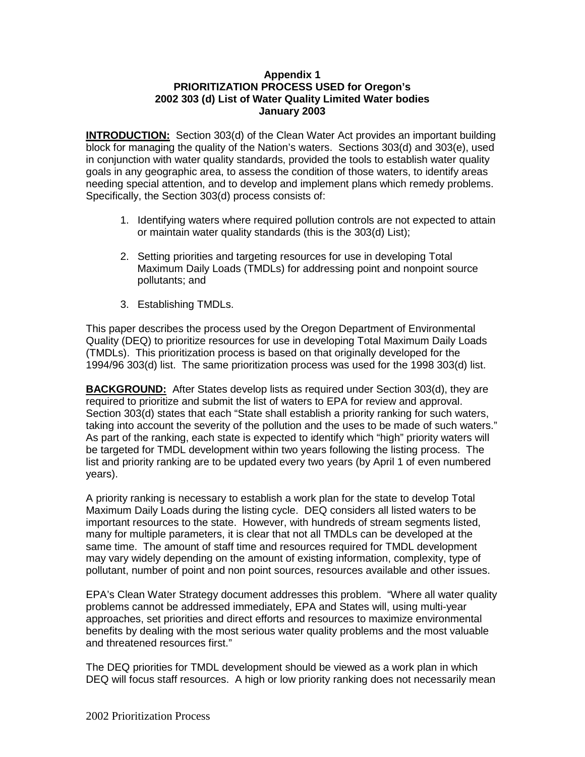## **Appendix 1 PRIORITIZATION PROCESS USED for Oregon's 2002 303 (d) List of Water Quality Limited Water bodies January 2003**

**INTRODUCTION:** Section 303(d) of the Clean Water Act provides an important building block for managing the quality of the Nation's waters. Sections 303(d) and 303(e), used in conjunction with water quality standards, provided the tools to establish water quality goals in any geographic area, to assess the condition of those waters, to identify areas needing special attention, and to develop and implement plans which remedy problems. Specifically, the Section 303(d) process consists of:

- 1. Identifying waters where required pollution controls are not expected to attain or maintain water quality standards (this is the 303(d) List);
- 2. Setting priorities and targeting resources for use in developing Total Maximum Daily Loads (TMDLs) for addressing point and nonpoint source pollutants; and
- 3. Establishing TMDLs.

This paper describes the process used by the Oregon Department of Environmental Quality (DEQ) to prioritize resources for use in developing Total Maximum Daily Loads (TMDLs). This prioritization process is based on that originally developed for the 1994/96 303(d) list. The same prioritization process was used for the 1998 303(d) list.

**BACKGROUND:** After States develop lists as required under Section 303(d), they are required to prioritize and submit the list of waters to EPA for review and approval. Section 303(d) states that each "State shall establish a priority ranking for such waters, taking into account the severity of the pollution and the uses to be made of such waters." As part of the ranking, each state is expected to identify which "high" priority waters will be targeted for TMDL development within two years following the listing process. The list and priority ranking are to be updated every two years (by April 1 of even numbered years).

A priority ranking is necessary to establish a work plan for the state to develop Total Maximum Daily Loads during the listing cycle. DEQ considers all listed waters to be important resources to the state. However, with hundreds of stream segments listed, many for multiple parameters, it is clear that not all TMDLs can be developed at the same time. The amount of staff time and resources required for TMDL development may vary widely depending on the amount of existing information, complexity, type of pollutant, number of point and non point sources, resources available and other issues.

EPA's Clean Water Strategy document addresses this problem. "Where all water quality problems cannot be addressed immediately, EPA and States will, using multi-year approaches, set priorities and direct efforts and resources to maximize environmental benefits by dealing with the most serious water quality problems and the most valuable and threatened resources first."

The DEQ priorities for TMDL development should be viewed as a work plan in which DEQ will focus staff resources. A high or low priority ranking does not necessarily mean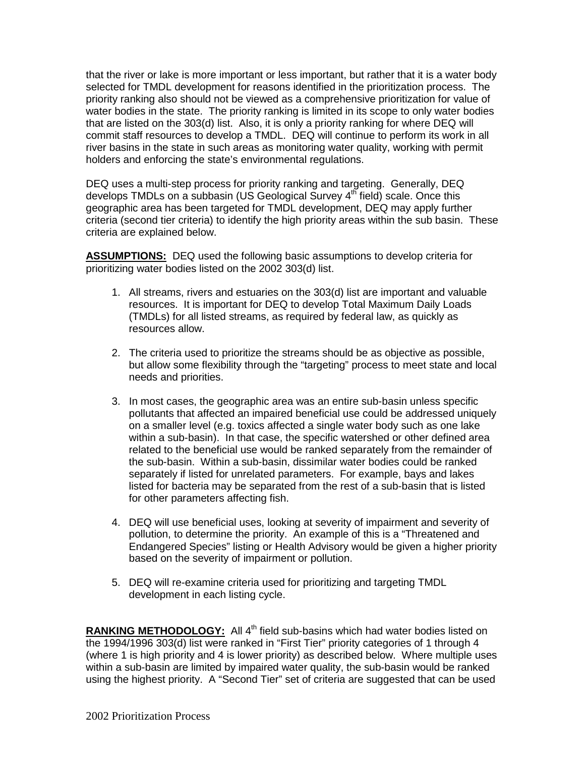that the river or lake is more important or less important, but rather that it is a water body selected for TMDL development for reasons identified in the prioritization process. The priority ranking also should not be viewed as a comprehensive prioritization for value of water bodies in the state. The priority ranking is limited in its scope to only water bodies that are listed on the 303(d) list. Also, it is only a priority ranking for where DEQ will commit staff resources to develop a TMDL. DEQ will continue to perform its work in all river basins in the state in such areas as monitoring water quality, working with permit holders and enforcing the state's environmental regulations.

DEQ uses a multi-step process for priority ranking and targeting. Generally, DEQ develops TMDLs on a subbasin (US Geological Survey  $4<sup>th</sup>$  field) scale. Once this geographic area has been targeted for TMDL development, DEQ may apply further criteria (second tier criteria) to identify the high priority areas within the sub basin. These criteria are explained below.

**ASSUMPTIONS:** DEQ used the following basic assumptions to develop criteria for prioritizing water bodies listed on the 2002 303(d) list.

- 1. All streams, rivers and estuaries on the 303(d) list are important and valuable resources. It is important for DEQ to develop Total Maximum Daily Loads (TMDLs) for all listed streams, as required by federal law, as quickly as resources allow.
- 2. The criteria used to prioritize the streams should be as objective as possible, but allow some flexibility through the "targeting" process to meet state and local needs and priorities.
- 3. In most cases, the geographic area was an entire sub-basin unless specific pollutants that affected an impaired beneficial use could be addressed uniquely on a smaller level (e.g. toxics affected a single water body such as one lake within a sub-basin). In that case, the specific watershed or other defined area related to the beneficial use would be ranked separately from the remainder of the sub-basin. Within a sub-basin, dissimilar water bodies could be ranked separately if listed for unrelated parameters. For example, bays and lakes listed for bacteria may be separated from the rest of a sub-basin that is listed for other parameters affecting fish.
- 4. DEQ will use beneficial uses, looking at severity of impairment and severity of pollution, to determine the priority. An example of this is a "Threatened and Endangered Species" listing or Health Advisory would be given a higher priority based on the severity of impairment or pollution.
- 5. DEQ will re-examine criteria used for prioritizing and targeting TMDL development in each listing cycle.

RANKING METHODOLOGY: All 4<sup>th</sup> field sub-basins which had water bodies listed on the 1994/1996 303(d) list were ranked in "First Tier" priority categories of 1 through 4 (where 1 is high priority and 4 is lower priority) as described below. Where multiple uses within a sub-basin are limited by impaired water quality, the sub-basin would be ranked using the highest priority. A "Second Tier" set of criteria are suggested that can be used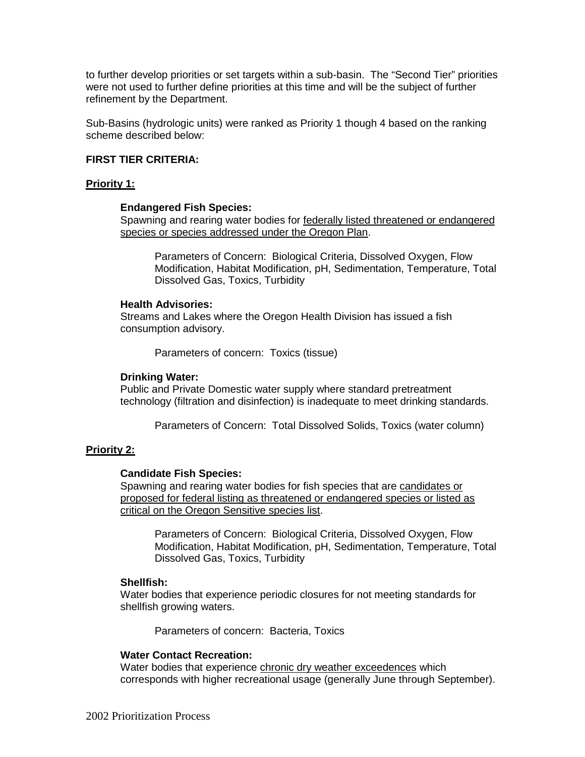to further develop priorities or set targets within a sub-basin. The "Second Tier" priorities were not used to further define priorities at this time and will be the subject of further refinement by the Department.

Sub-Basins (hydrologic units) were ranked as Priority 1 though 4 based on the ranking scheme described below:

## **FIRST TIER CRITERIA:**

## **Priority 1:**

#### **Endangered Fish Species:**

Spawning and rearing water bodies for federally listed threatened or endangered species or species addressed under the Oregon Plan.

Parameters of Concern: Biological Criteria, Dissolved Oxygen, Flow Modification, Habitat Modification, pH, Sedimentation, Temperature, Total Dissolved Gas, Toxics, Turbidity

#### **Health Advisories:**

Streams and Lakes where the Oregon Health Division has issued a fish consumption advisory.

Parameters of concern: Toxics (tissue)

#### **Drinking Water:**

Public and Private Domestic water supply where standard pretreatment technology (filtration and disinfection) is inadequate to meet drinking standards.

Parameters of Concern: Total Dissolved Solids, Toxics (water column)

## **Priority 2:**

#### **Candidate Fish Species:**

Spawning and rearing water bodies for fish species that are candidates or proposed for federal listing as threatened or endangered species or listed as critical on the Oregon Sensitive species list.

Parameters of Concern: Biological Criteria, Dissolved Oxygen, Flow Modification, Habitat Modification, pH, Sedimentation, Temperature, Total Dissolved Gas, Toxics, Turbidity

#### **Shellfish:**

Water bodies that experience periodic closures for not meeting standards for shellfish growing waters.

Parameters of concern: Bacteria, Toxics

## **Water Contact Recreation:**

Water bodies that experience chronic dry weather exceedences which corresponds with higher recreational usage (generally June through September).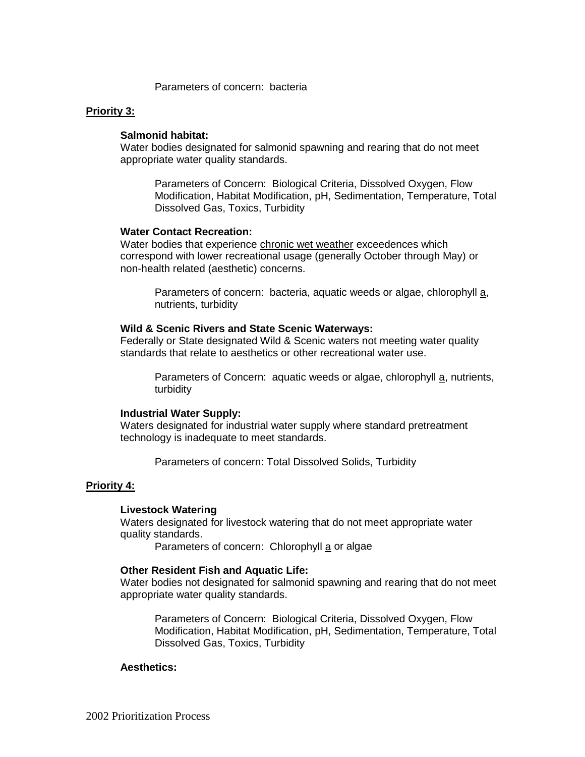Parameters of concern: bacteria

## **Priority 3:**

#### **Salmonid habitat:**

Water bodies designated for salmonid spawning and rearing that do not meet appropriate water quality standards.

Parameters of Concern: Biological Criteria, Dissolved Oxygen, Flow Modification, Habitat Modification, pH, Sedimentation, Temperature, Total Dissolved Gas, Toxics, Turbidity

## **Water Contact Recreation:**

Water bodies that experience chronic wet weather exceedences which correspond with lower recreational usage (generally October through May) or non-health related (aesthetic) concerns.

Parameters of concern: bacteria, aquatic weeds or algae, chlorophyll a, nutrients, turbidity

#### **Wild & Scenic Rivers and State Scenic Waterways:**

Federally or State designated Wild & Scenic waters not meeting water quality standards that relate to aesthetics or other recreational water use.

Parameters of Concern: aquatic weeds or algae, chlorophyll a, nutrients, turbidity

#### **Industrial Water Supply:**

Waters designated for industrial water supply where standard pretreatment technology is inadequate to meet standards.

Parameters of concern: Total Dissolved Solids, Turbidity

## **Priority 4:**

## **Livestock Watering**

Waters designated for livestock watering that do not meet appropriate water quality standards.

Parameters of concern: Chlorophyll a or algae

#### **Other Resident Fish and Aquatic Life:**

Water bodies not designated for salmonid spawning and rearing that do not meet appropriate water quality standards.

Parameters of Concern: Biological Criteria, Dissolved Oxygen, Flow Modification, Habitat Modification, pH, Sedimentation, Temperature, Total Dissolved Gas, Toxics, Turbidity

#### **Aesthetics:**